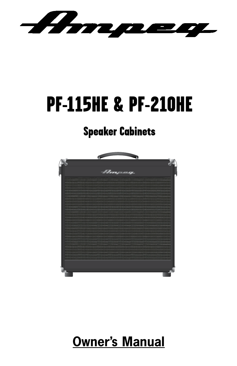Ampeeg

# PF-115HE & PF-210HE

## Speaker Cabinets



## **Owner's Manual**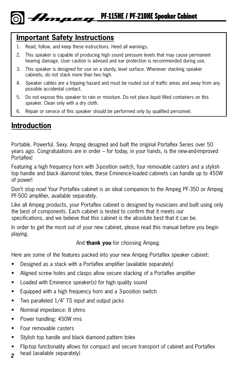### **Important Safety Instructions**

- 1. Read, follow, and keep these instructions. Heed all warnings.
- 2. This speaker is capable of producing high sound pressure levels that may cause permanent hearing damage. User caution is advised and ear protection is recommended during use.
- 3. This speaker is designed for use on a sturdy, level surface. Whenever stacking speaker cabinets, do not stack more than two high.
- 4. Speaker cables are a tripping hazard and must be routed out of traffic areas and away from any possible accidental contact.
- 5. Do not expose this speaker to rain or moisture. Do not place liquid filled containers on this speaker. Clean only with a dry cloth.
- 6. Repair or service of this speaker should be performed only by qualified personnel.

#### **Introduction**

Portable. Powerful. Sexy. Ampeg designed and built the original Portaflex Series over 50 years ago. Congratulations are in order – for today, in your hands, is the new-and-improved **Portaflex!** 

Featuring a high frequency horn with 3-position switch, four removable casters and a stylish top handle and black diamond tolex, these Eminence-loaded cabinets can handle up to 450W of power!

Don't stop now! Your Portaflex cabinet is an ideal companion to the Ampeg PF-350 or Ampeg PF-500 amplifier, available separately.

Like all Ampeg products, your Portaflex cabinet is designed by musicians and built using only the best of components. Each cabinet is tested to confirm that it meets our specifications, and we believe that this cabinet is the absolute best that it can be.

In order to get the most out of your new cabinet, please read this manual before you begin playing.

#### And **thank you** for choosing Ampeg.

Here are some of the features packed into your new Ampeg Portaflex speaker cabinet:

- Designed as a stack with a Portaflex amplifier (available separately)
- Aligned screw holes and clasps allow secure stacking of a Portaflex amplifier
- Loaded with Eminence speaker(s) for high quality sound
- Equipped with a high frequency horn and a 3-position switch
- Two paralleled 1/4" TS input and output jacks
- Nominal impedance: 8 ohms
- Power handling: 450W rms
- Four removable casters
- Stylish top handle and black diamond pattern tolex
- Flip-top functionality allows for compact and secure transport of cabinet and Portaflex
- *2* head (available separately)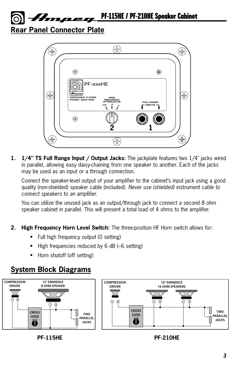PF-115HE / PF-210HE Speaker Cabinet Hmpeg.

**Rear Panel Connector Plate**



**1. 1/4" TS Full Range Input / Output Jacks:** The jackplate features two 1/4" jacks wired in parallel, allowing easy daisy-chaining from one speaker to another. Each of the jacks may be used as an input or a through connection.

Connect the speaker-level output of your amplifier to the cabinet's input jack using a good quality (non-shielded) speaker cable (included). *Never use (shielded) instrument cable to connect speakers to an amplifier.*

You can utilize the unused jack as an output/through jack to connect a second 8 ohm speaker cabinet in parallel. This will present a total load of 4 ohms to the amplifier.

- **2. High Frequency Horn Level Switch:** The three-position HF Horn switch allows for:
	- Full high frequency output (0 setting)
	- High frequencies reduced by 6 dB (-6 setting)
	- Horn shutoff (off setting)

#### **System Block Diagrams**





**PF-115HE PF-210HE**